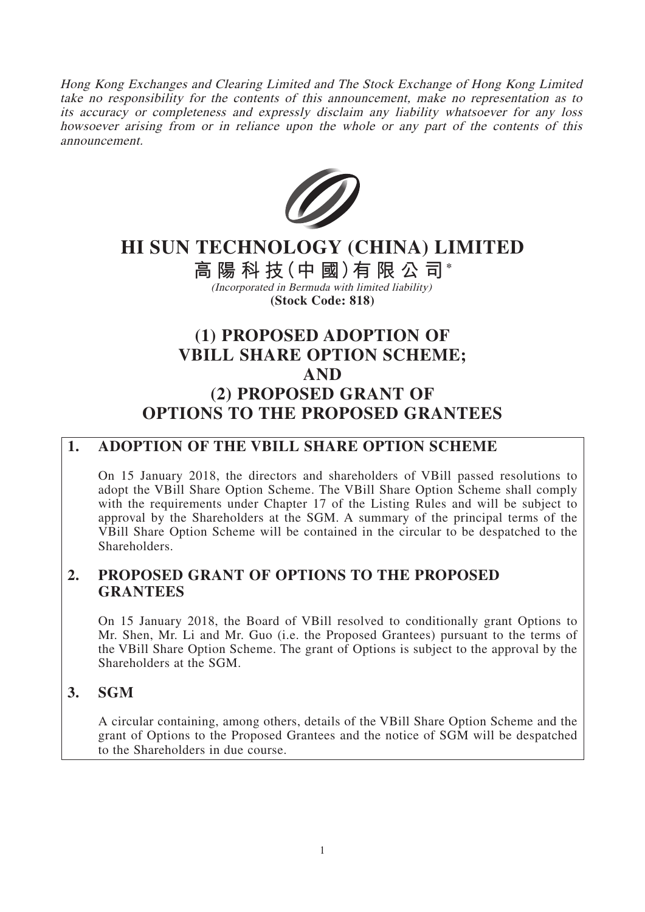Hong Kong Exchanges and Clearing Limited and The Stock Exchange of Hong Kong Limited take no responsibility for the contents of this announcement, make no representation as to its accuracy or completeness and expressly disclaim any liability whatsoever for any loss howsoever arising from or in reliance upon the whole or any part of the contents of this announcement.



# **HI SUN TECHNOLOGY (CHINA) LIMITED**

**高陽科技(中 國)有限公司\*** (Incorporated in Bermuda with limited liability)

**(Stock Code: 818)**

## **(1) PROPOSED ADOPTION OF VBILL SHARE OPTION SCHEME; AND (2) PROPOSED GRANT OF OPTIONS TO THE PROPOSED GRANTEES**

## **1. ADOPTION OF THE VBILL SHARE OPTION SCHEME**

On 15 January 2018, the directors and shareholders of VBill passed resolutions to adopt the VBill Share Option Scheme. The VBill Share Option Scheme shall comply with the requirements under Chapter 17 of the Listing Rules and will be subject to approval by the Shareholders at the SGM. A summary of the principal terms of the VBill Share Option Scheme will be contained in the circular to be despatched to the Shareholders.

## **2. PROPOSED GRANT OF OPTIONS TO THE PROPOSED GRANTEES**

On 15 January 2018, the Board of VBill resolved to conditionally grant Options to Mr. Shen, Mr. Li and Mr. Guo (i.e. the Proposed Grantees) pursuant to the terms of the VBill Share Option Scheme. The grant of Options is subject to the approval by the Shareholders at the SGM.

## **3. SGM**

A circular containing, among others, details of the VBill Share Option Scheme and the grant of Options to the Proposed Grantees and the notice of SGM will be despatched to the Shareholders in due course.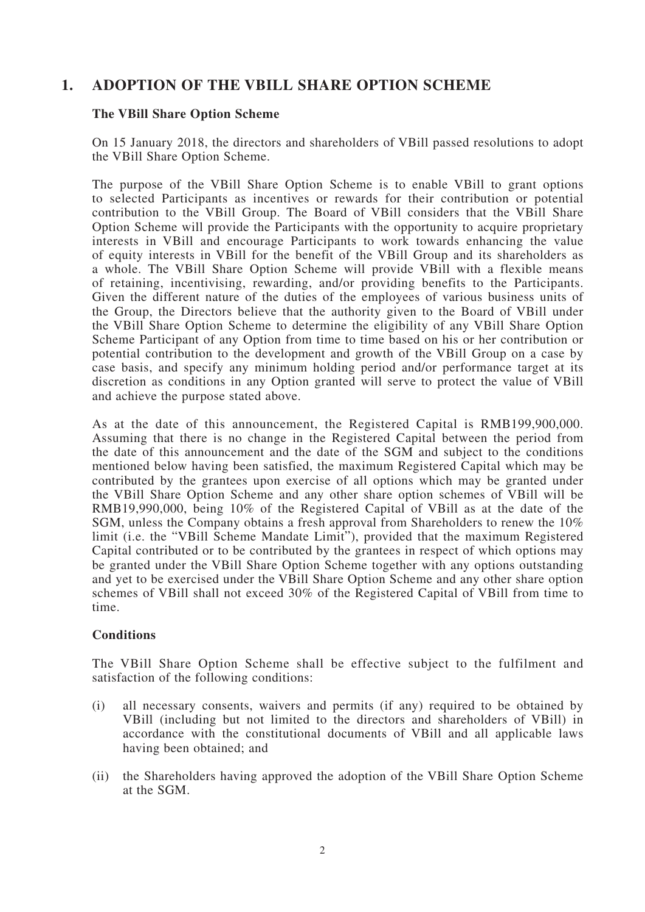## **1. ADOPTION OF THE VBILL SHARE OPTION SCHEME**

#### **The VBill Share Option Scheme**

On 15 January 2018, the directors and shareholders of VBill passed resolutions to adopt the VBill Share Option Scheme.

The purpose of the VBill Share Option Scheme is to enable VBill to grant options to selected Participants as incentives or rewards for their contribution or potential contribution to the VBill Group. The Board of VBill considers that the VBill Share Option Scheme will provide the Participants with the opportunity to acquire proprietary interests in VBill and encourage Participants to work towards enhancing the value of equity interests in VBill for the benefit of the VBill Group and its shareholders as a whole. The VBill Share Option Scheme will provide VBill with a flexible means of retaining, incentivising, rewarding, and/or providing benefits to the Participants. Given the different nature of the duties of the employees of various business units of the Group, the Directors believe that the authority given to the Board of VBill under the VBill Share Option Scheme to determine the eligibility of any VBill Share Option Scheme Participant of any Option from time to time based on his or her contribution or potential contribution to the development and growth of the VBill Group on a case by case basis, and specify any minimum holding period and/or performance target at its discretion as conditions in any Option granted will serve to protect the value of VBill and achieve the purpose stated above.

As at the date of this announcement, the Registered Capital is RMB199,900,000. Assuming that there is no change in the Registered Capital between the period from the date of this announcement and the date of the SGM and subject to the conditions mentioned below having been satisfied, the maximum Registered Capital which may be contributed by the grantees upon exercise of all options which may be granted under the VBill Share Option Scheme and any other share option schemes of VBill will be RMB19,990,000, being 10% of the Registered Capital of VBill as at the date of the SGM, unless the Company obtains a fresh approval from Shareholders to renew the 10% limit (i.e. the "VBill Scheme Mandate Limit"), provided that the maximum Registered Capital contributed or to be contributed by the grantees in respect of which options may be granted under the VBill Share Option Scheme together with any options outstanding and yet to be exercised under the VBill Share Option Scheme and any other share option schemes of VBill shall not exceed 30% of the Registered Capital of VBill from time to time.

#### **Conditions**

The VBill Share Option Scheme shall be effective subject to the fulfilment and satisfaction of the following conditions:

- (i) all necessary consents, waivers and permits (if any) required to be obtained by VBill (including but not limited to the directors and shareholders of VBill) in accordance with the constitutional documents of VBill and all applicable laws having been obtained; and
- (ii) the Shareholders having approved the adoption of the VBill Share Option Scheme at the SGM.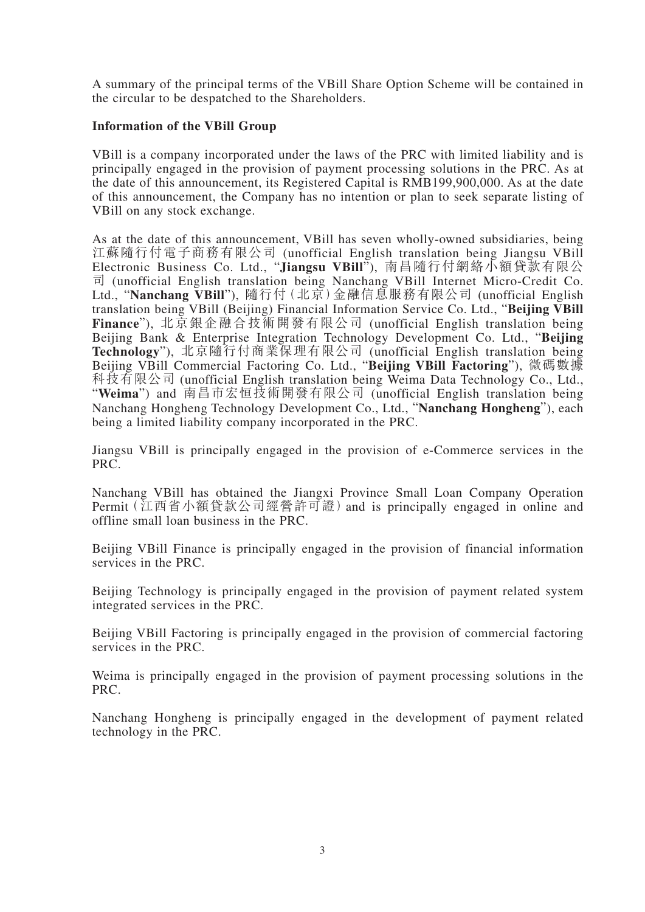A summary of the principal terms of the VBill Share Option Scheme will be contained in the circular to be despatched to the Shareholders.

#### **Information of the VBill Group**

VBill is a company incorporated under the laws of the PRC with limited liability and is principally engaged in the provision of payment processing solutions in the PRC. As at the date of this announcement, its Registered Capital is RMB199,900,000. As at the date of this announcement, the Company has no intention or plan to seek separate listing of VBill on any stock exchange.

As at the date of this announcement, VBill has seven wholly-owned subsidiaries, being 江蘇隨行付電子商務有限公司 (unofficial English translation being Jiangsu VBill Electronic Business Co. Ltd., "**Jiangsu VBill**"), 南昌隨行付網絡小額貸款有限公 司 (unofficial English translation being Nanchang VBill Internet Micro-Credit Co. Ltd., "**Nanchang VBill**"), 隨行付(北京)金融信息服務有限公司 (unofficial English translation being VBill (Beijing) Financial Information Service Co. Ltd., "**Beijing VBill Finance**"), 北京銀企融合技術開發有限公司 (unofficial English translation being Beijing Bank & Enterprise Integration Technology Development Co. Ltd., "**Beijing Technology**"), 北京隨行付商業保理有限公司 (unofficial English translation being Beijing VBill Commercial Factoring Co. Ltd., "**Beijing VBill Factoring**"), 微碼數據 科技有限公司 (unofficial English translation being Weima Data Technology Co., Ltd., "**Weima**") and 南昌市宏恒技術開發有限公司 (unofficial English translation being Nanchang Hongheng Technology Development Co., Ltd., "**Nanchang Hongheng**"), each being a limited liability company incorporated in the PRC.

Jiangsu VBill is principally engaged in the provision of e-Commerce services in the PRC.

Nanchang VBill has obtained the Jiangxi Province Small Loan Company Operation Permit(江西省小額貸款公司經營許可證)and is principally engaged in online and offline small loan business in the PRC.

Beijing VBill Finance is principally engaged in the provision of financial information services in the PRC.

Beijing Technology is principally engaged in the provision of payment related system integrated services in the PRC.

Beijing VBill Factoring is principally engaged in the provision of commercial factoring services in the PRC.

Weima is principally engaged in the provision of payment processing solutions in the PRC.

Nanchang Hongheng is principally engaged in the development of payment related technology in the PRC.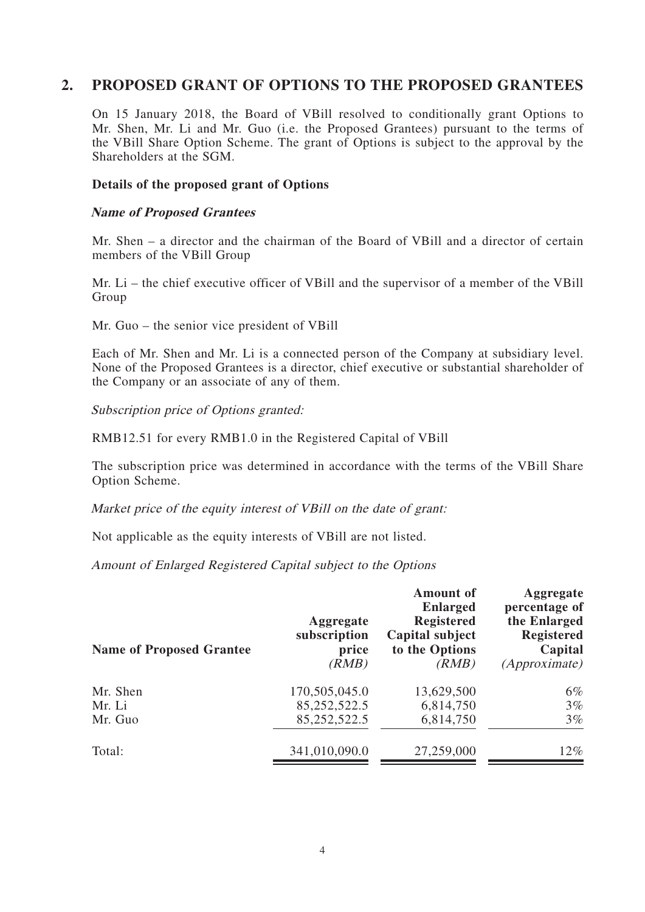## **2. PROPOSED GRANT OF OPTIONS TO THE PROPOSED GRANTEES**

On 15 January 2018, the Board of VBill resolved to conditionally grant Options to Mr. Shen, Mr. Li and Mr. Guo (i.e. the Proposed Grantees) pursuant to the terms of the VBill Share Option Scheme. The grant of Options is subject to the approval by the Shareholders at the SGM.

#### **Details of the proposed grant of Options**

#### **Name of Proposed Grantees**

Mr. Shen – a director and the chairman of the Board of VBill and a director of certain members of the VBill Group

Mr. Li – the chief executive officer of VBill and the supervisor of a member of the VBill Group

Mr. Guo – the senior vice president of VBill

Each of Mr. Shen and Mr. Li is a connected person of the Company at subsidiary level. None of the Proposed Grantees is a director, chief executive or substantial shareholder of the Company or an associate of any of them.

Subscription price of Options granted:

RMB12.51 for every RMB1.0 in the Registered Capital of VBill

The subscription price was determined in accordance with the terms of the VBill Share Option Scheme.

Market price of the equity interest of VBill on the date of grant:

Not applicable as the equity interests of VBill are not listed.

Amount of Enlarged Registered Capital subject to the Options

| <b>Name of Proposed Grantee</b> | Aggregate<br>subscription<br>price<br>(RMB) | <b>Amount</b> of<br><b>Enlarged</b><br><b>Registered</b><br>Capital subject<br>to the Options<br>(RMB) | Aggregate<br>percentage of<br>the Enlarged<br><b>Registered</b><br>Capital<br><i>(Approximate)</i> |
|---------------------------------|---------------------------------------------|--------------------------------------------------------------------------------------------------------|----------------------------------------------------------------------------------------------------|
| Mr. Shen                        | 170,505,045.0                               | 13,629,500                                                                                             | $6\%$                                                                                              |
| Mr. Li                          | 85,252,522.5                                | 6,814,750                                                                                              | $3\%$                                                                                              |
| Mr. Guo                         | 85,252,522.5                                | 6,814,750                                                                                              | $3\%$                                                                                              |
| Total:                          | 341,010,090.0                               | 27,259,000                                                                                             | $12\%$                                                                                             |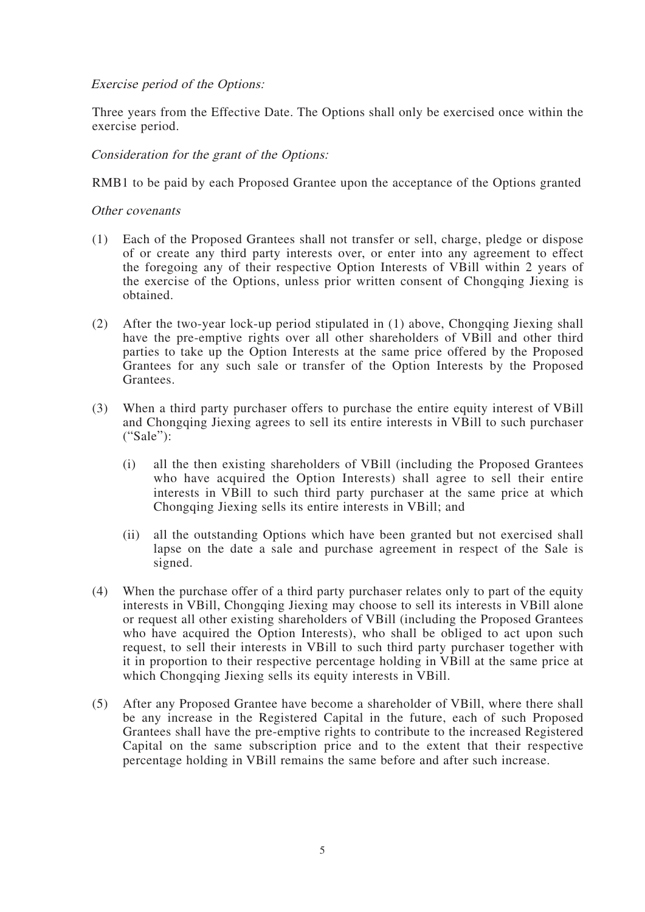#### Exercise period of the Options:

Three years from the Effective Date. The Options shall only be exercised once within the exercise period.

#### Consideration for the grant of the Options:

RMB1 to be paid by each Proposed Grantee upon the acceptance of the Options granted

#### Other covenants

- (1) Each of the Proposed Grantees shall not transfer or sell, charge, pledge or dispose of or create any third party interests over, or enter into any agreement to effect the foregoing any of their respective Option Interests of VBill within 2 years of the exercise of the Options, unless prior written consent of Chongqing Jiexing is obtained.
- (2) After the two-year lock-up period stipulated in (1) above, Chongqing Jiexing shall have the pre-emptive rights over all other shareholders of VBill and other third parties to take up the Option Interests at the same price offered by the Proposed Grantees for any such sale or transfer of the Option Interests by the Proposed Grantees.
- (3) When a third party purchaser offers to purchase the entire equity interest of VBill and Chongqing Jiexing agrees to sell its entire interests in VBill to such purchaser ("Sale"):
	- (i) all the then existing shareholders of VBill (including the Proposed Grantees who have acquired the Option Interests) shall agree to sell their entire interests in VBill to such third party purchaser at the same price at which Chongqing Jiexing sells its entire interests in VBill; and
	- (ii) all the outstanding Options which have been granted but not exercised shall lapse on the date a sale and purchase agreement in respect of the Sale is signed.
- (4) When the purchase offer of a third party purchaser relates only to part of the equity interests in VBill, Chongqing Jiexing may choose to sell its interests in VBill alone or request all other existing shareholders of VBill (including the Proposed Grantees who have acquired the Option Interests), who shall be obliged to act upon such request, to sell their interests in VBill to such third party purchaser together with it in proportion to their respective percentage holding in VBill at the same price at which Chongqing Jiexing sells its equity interests in VBill.
- (5) After any Proposed Grantee have become a shareholder of VBill, where there shall be any increase in the Registered Capital in the future, each of such Proposed Grantees shall have the pre-emptive rights to contribute to the increased Registered Capital on the same subscription price and to the extent that their respective percentage holding in VBill remains the same before and after such increase.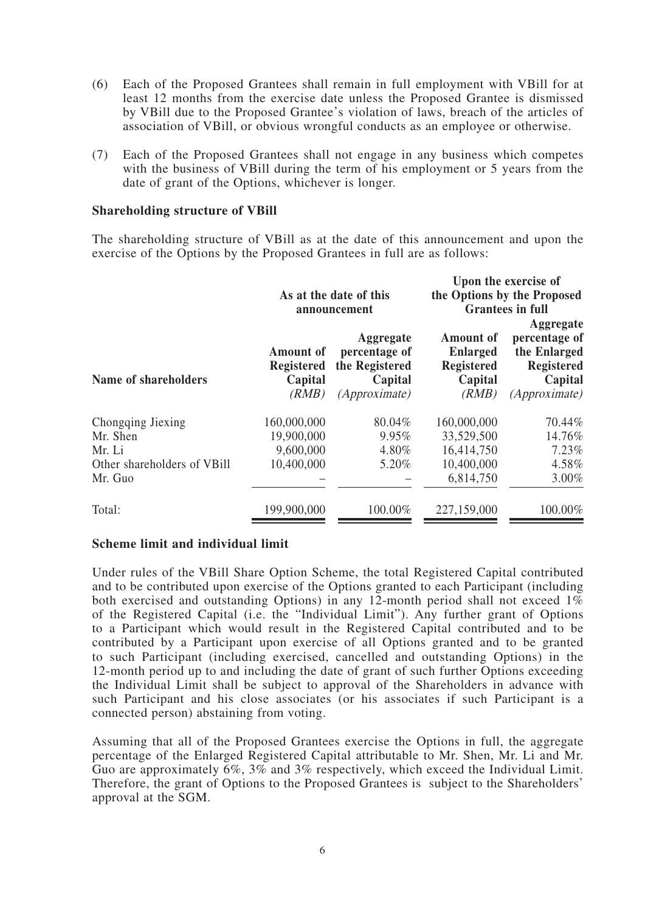- (6) Each of the Proposed Grantees shall remain in full employment with VBill for at least 12 months from the exercise date unless the Proposed Grantee is dismissed by VBill due to the Proposed Grantee's violation of laws, breach of the articles of association of VBill, or obvious wrongful conducts as an employee or otherwise.
- (7) Each of the Proposed Grantees shall not engage in any business which competes with the business of VBill during the term of his employment or 5 years from the date of grant of the Options, whichever is longer.

#### **Shareholding structure of VBill**

The shareholding structure of VBill as at the date of this announcement and upon the exercise of the Options by the Proposed Grantees in full are as follows:

|                             | As at the date of this<br>announcement                    |                                                                          | Upon the exercise of<br>the Options by the Proposed<br><b>Grantees in full</b><br>Aggregate |                                                                                       |
|-----------------------------|-----------------------------------------------------------|--------------------------------------------------------------------------|---------------------------------------------------------------------------------------------|---------------------------------------------------------------------------------------|
| Name of shareholders        | <b>Amount of</b><br><b>Registered</b><br>Capital<br>(RMB) | Aggregate<br>percentage of<br>the Registered<br>Capital<br>(Approximate) | <b>Amount of</b><br><b>Enlarged</b><br><b>Registered</b><br>Capital<br>(RMB)                | percentage of<br>the Enlarged<br><b>Registered</b><br>Capital<br><i>(Approximate)</i> |
| Chongqing Jiexing           | 160,000,000                                               | 80.04%                                                                   | 160,000,000                                                                                 | 70.44%                                                                                |
| Mr. Shen                    | 19,900,000                                                | 9.95%                                                                    | 33,529,500                                                                                  | 14.76%                                                                                |
| Mr. Li                      | 9,600,000                                                 | 4.80%                                                                    | 16,414,750                                                                                  | $7.23\%$                                                                              |
| Other shareholders of VBill | 10,400,000                                                | 5.20%                                                                    | 10,400,000                                                                                  | 4.58%                                                                                 |
| Mr. Guo                     |                                                           |                                                                          | 6,814,750                                                                                   | $3.00\%$                                                                              |
| Total:                      | 199,900,000                                               | 100.00%                                                                  | 227,159,000                                                                                 | 100.00%                                                                               |

#### **Scheme limit and individual limit**

Under rules of the VBill Share Option Scheme, the total Registered Capital contributed and to be contributed upon exercise of the Options granted to each Participant (including both exercised and outstanding Options) in any 12-month period shall not exceed 1% of the Registered Capital (i.e. the "Individual Limit"). Any further grant of Options to a Participant which would result in the Registered Capital contributed and to be contributed by a Participant upon exercise of all Options granted and to be granted to such Participant (including exercised, cancelled and outstanding Options) in the 12-month period up to and including the date of grant of such further Options exceeding the Individual Limit shall be subject to approval of the Shareholders in advance with such Participant and his close associates (or his associates if such Participant is a connected person) abstaining from voting.

Assuming that all of the Proposed Grantees exercise the Options in full, the aggregate percentage of the Enlarged Registered Capital attributable to Mr. Shen, Mr. Li and Mr. Guo are approximately 6%, 3% and 3% respectively, which exceed the Individual Limit. Therefore, the grant of Options to the Proposed Grantees is subject to the Shareholders' approval at the SGM.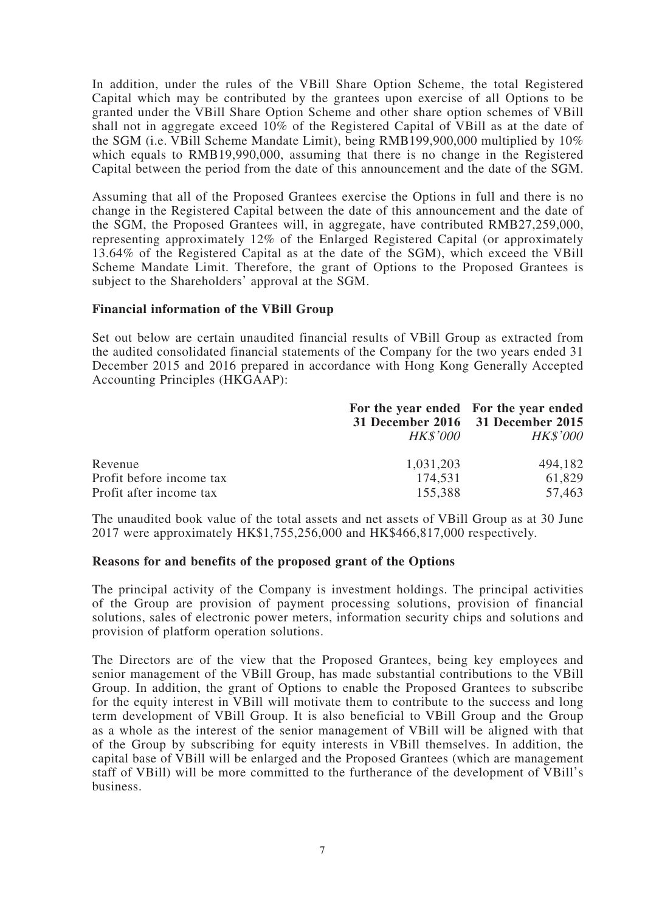In addition, under the rules of the VBill Share Option Scheme, the total Registered Capital which may be contributed by the grantees upon exercise of all Options to be granted under the VBill Share Option Scheme and other share option schemes of VBill shall not in aggregate exceed 10% of the Registered Capital of VBill as at the date of the SGM (i.e. VBill Scheme Mandate Limit), being RMB199,900,000 multiplied by 10% which equals to RMB19,990,000, assuming that there is no change in the Registered Capital between the period from the date of this announcement and the date of the SGM.

Assuming that all of the Proposed Grantees exercise the Options in full and there is no change in the Registered Capital between the date of this announcement and the date of the SGM, the Proposed Grantees will, in aggregate, have contributed RMB27,259,000, representing approximately 12% of the Enlarged Registered Capital (or approximately 13.64% of the Registered Capital as at the date of the SGM), which exceed the VBill Scheme Mandate Limit. Therefore, the grant of Options to the Proposed Grantees is subject to the Shareholders' approval at the SGM.

#### **Financial information of the VBill Group**

Set out below are certain unaudited financial results of VBill Group as extracted from the audited consolidated financial statements of the Company for the two years ended 31 December 2015 and 2016 prepared in accordance with Hong Kong Generally Accepted Accounting Principles (HKGAAP):

|                          | <i>HK\$'000</i> | For the year ended For the year ended<br>31 December 2016 31 December 2015<br><b>HK\$'000</b> |
|--------------------------|-----------------|-----------------------------------------------------------------------------------------------|
| Revenue                  | 1,031,203       | 494,182                                                                                       |
| Profit before income tax | 174.531         | 61.829                                                                                        |
| Profit after income tax  | 155,388         | 57,463                                                                                        |

The unaudited book value of the total assets and net assets of VBill Group as at 30 June 2017 were approximately HK\$1,755,256,000 and HK\$466,817,000 respectively.

#### **Reasons for and benefits of the proposed grant of the Options**

The principal activity of the Company is investment holdings. The principal activities of the Group are provision of payment processing solutions, provision of financial solutions, sales of electronic power meters, information security chips and solutions and provision of platform operation solutions.

The Directors are of the view that the Proposed Grantees, being key employees and senior management of the VBill Group, has made substantial contributions to the VBill Group. In addition, the grant of Options to enable the Proposed Grantees to subscribe for the equity interest in VBill will motivate them to contribute to the success and long term development of VBill Group. It is also beneficial to VBill Group and the Group as a whole as the interest of the senior management of VBill will be aligned with that of the Group by subscribing for equity interests in VBill themselves. In addition, the capital base of VBill will be enlarged and the Proposed Grantees (which are management staff of VBill) will be more committed to the furtherance of the development of VBill's business.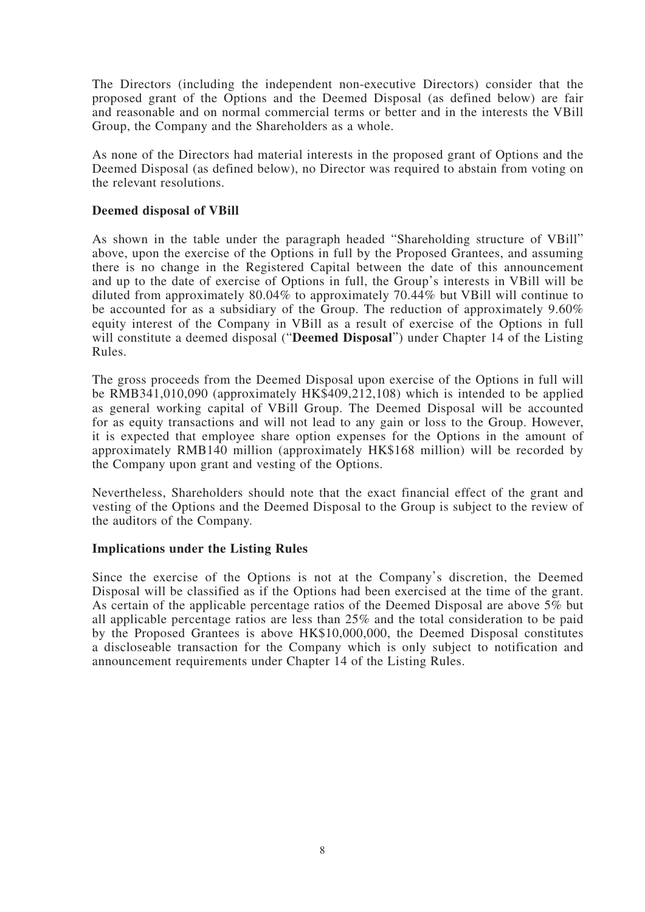The Directors (including the independent non-executive Directors) consider that the proposed grant of the Options and the Deemed Disposal (as defined below) are fair and reasonable and on normal commercial terms or better and in the interests the VBill Group, the Company and the Shareholders as a whole.

As none of the Directors had material interests in the proposed grant of Options and the Deemed Disposal (as defined below), no Director was required to abstain from voting on the relevant resolutions.

#### **Deemed disposal of VBill**

As shown in the table under the paragraph headed "Shareholding structure of VBill" above, upon the exercise of the Options in full by the Proposed Grantees, and assuming there is no change in the Registered Capital between the date of this announcement and up to the date of exercise of Options in full, the Group's interests in VBill will be diluted from approximately 80.04% to approximately 70.44% but VBill will continue to be accounted for as a subsidiary of the Group. The reduction of approximately 9.60% equity interest of the Company in VBill as a result of exercise of the Options in full will constitute a deemed disposal ("**Deemed Disposal**") under Chapter 14 of the Listing Rules.

The gross proceeds from the Deemed Disposal upon exercise of the Options in full will be RMB341,010,090 (approximately HK\$409,212,108) which is intended to be applied as general working capital of VBill Group. The Deemed Disposal will be accounted for as equity transactions and will not lead to any gain or loss to the Group. However, it is expected that employee share option expenses for the Options in the amount of approximately RMB140 million (approximately HK\$168 million) will be recorded by the Company upon grant and vesting of the Options.

Nevertheless, Shareholders should note that the exact financial effect of the grant and vesting of the Options and the Deemed Disposal to the Group is subject to the review of the auditors of the Company.

#### **Implications under the Listing Rules**

Since the exercise of the Options is not at the Company's discretion, the Deemed Disposal will be classified as if the Options had been exercised at the time of the grant. As certain of the applicable percentage ratios of the Deemed Disposal are above 5% but all applicable percentage ratios are less than 25% and the total consideration to be paid by the Proposed Grantees is above HK\$10,000,000, the Deemed Disposal constitutes a discloseable transaction for the Company which is only subject to notification and announcement requirements under Chapter 14 of the Listing Rules.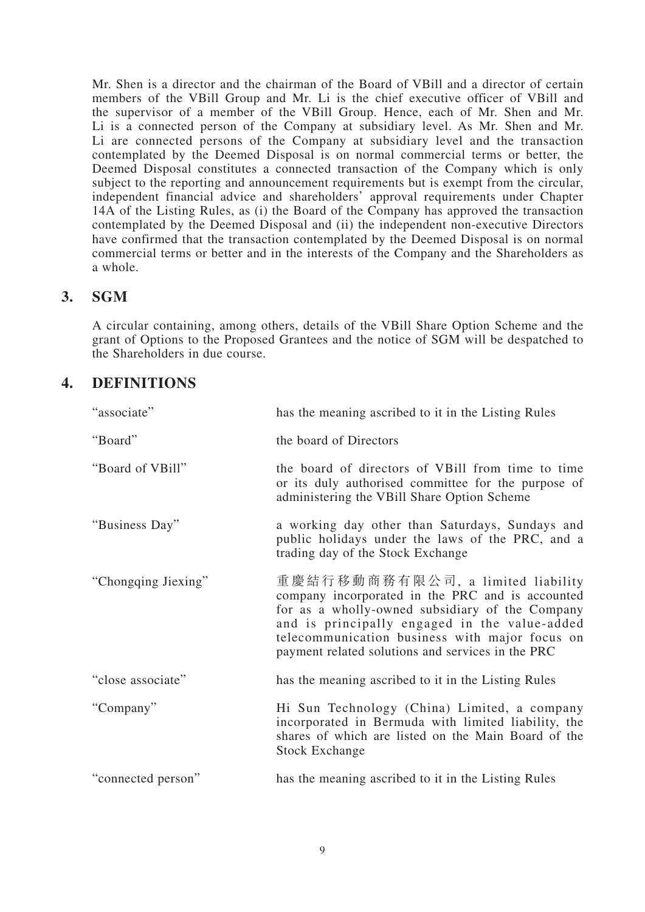Mr. Shen is a director and the chairman of the Board of VBill and a director of certain members of the VBill Group and Mr. Li is the chief executive officer of VBill and the supervisor of a member of the VBill Group. Hence, each of Mr. Shen and Mr. Li is a connected person of the Company at subsidiary level. As Mr. Shen and Mr. Li are connected persons of the Company at subsidiary level and the transaction contemplated by the Deemed Disposal is on normal commercial terms or better, the Deemed Disposal constitutes a connected transaction of the Company which is only subject to the reporting and announcement requirements but is exempt from the circular, independent financial advice and shareholders' approval requirements under Chapter 14A of the Listing Rules, as (i) the Board of the Company has approved the transaction contemplated by the Deemed Disposal and (ii) the independent non-executive Directors have confirmed that the transaction contemplated by the Deemed Disposal is on normal commercial terms or better and in the interests of the Company and the Shareholders as a whole.

## **3. SGM**

A circular containing, among others, details of the VBill Share Option Scheme and the grant of Options to the Proposed Grantees and the notice of SGM will be despatched to the Shareholders in due course.

## **4. DEFINITIONS**

| "associate"         | has the meaning ascribed to it in the Listing Rules                                                                                                                                                                                                                                              |
|---------------------|--------------------------------------------------------------------------------------------------------------------------------------------------------------------------------------------------------------------------------------------------------------------------------------------------|
| "Board"             | the board of Directors                                                                                                                                                                                                                                                                           |
| "Board of VBill"    | the board of directors of VBill from time to time<br>or its duly authorised committee for the purpose of<br>administering the VBill Share Option Scheme                                                                                                                                          |
| "Business Day"      | a working day other than Saturdays, Sundays and<br>public holidays under the laws of the PRC, and a<br>trading day of the Stock Exchange                                                                                                                                                         |
| "Chongqing Jiexing" | 重慶結行移動商務有限公司, a limited liability<br>company incorporated in the PRC and is accounted<br>for as a wholly-owned subsidiary of the Company<br>and is principally engaged in the value-added<br>telecommunication business with major focus on<br>payment related solutions and services in the PRC |
| "close associate"   | has the meaning ascribed to it in the Listing Rules                                                                                                                                                                                                                                              |
| "Company"           | Hi Sun Technology (China) Limited, a company<br>incorporated in Bermuda with limited liability, the<br>shares of which are listed on the Main Board of the<br><b>Stock Exchange</b>                                                                                                              |
| "connected person"  | has the meaning ascribed to it in the Listing Rules                                                                                                                                                                                                                                              |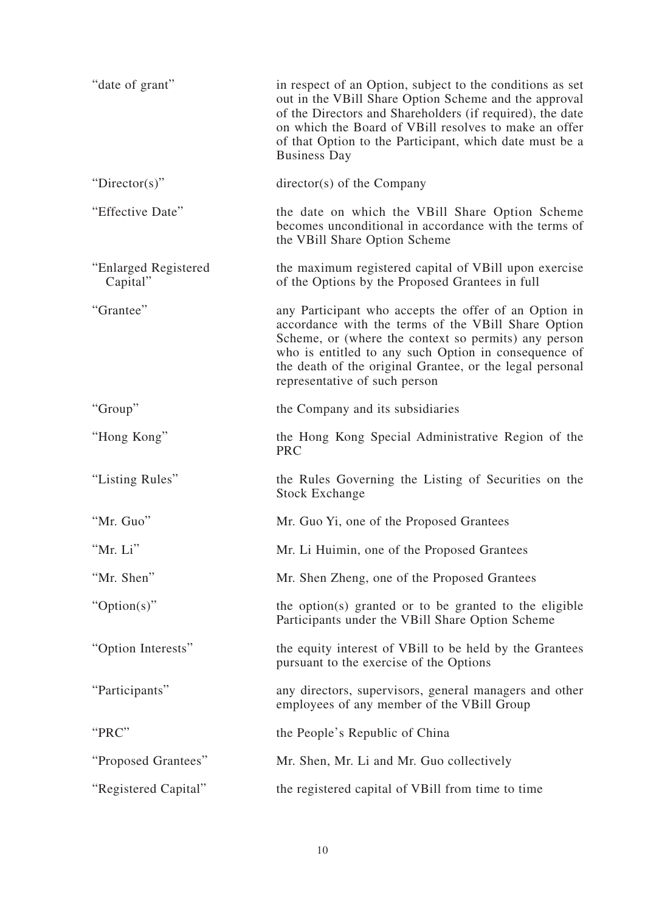| "date of grant"                  | in respect of an Option, subject to the conditions as set<br>out in the VBill Share Option Scheme and the approval<br>of the Directors and Shareholders (if required), the date<br>on which the Board of VBill resolves to make an offer<br>of that Option to the Participant, which date must be a<br><b>Business Day</b> |
|----------------------------------|----------------------------------------------------------------------------------------------------------------------------------------------------------------------------------------------------------------------------------------------------------------------------------------------------------------------------|
| "Director(s)"                    | director(s) of the Company                                                                                                                                                                                                                                                                                                 |
| "Effective Date"                 | the date on which the VBill Share Option Scheme<br>becomes unconditional in accordance with the terms of<br>the VBill Share Option Scheme                                                                                                                                                                                  |
| "Enlarged Registered<br>Capital" | the maximum registered capital of VBill upon exercise<br>of the Options by the Proposed Grantees in full                                                                                                                                                                                                                   |
| "Grantee"                        | any Participant who accepts the offer of an Option in<br>accordance with the terms of the VBill Share Option<br>Scheme, or (where the context so permits) any person<br>who is entitled to any such Option in consequence of<br>the death of the original Grantee, or the legal personal<br>representative of such person  |
| "Group"                          | the Company and its subsidiaries                                                                                                                                                                                                                                                                                           |
| "Hong Kong"                      | the Hong Kong Special Administrative Region of the<br><b>PRC</b>                                                                                                                                                                                                                                                           |
| "Listing Rules"                  | the Rules Governing the Listing of Securities on the<br><b>Stock Exchange</b>                                                                                                                                                                                                                                              |
| "Mr. Guo"                        | Mr. Guo Yi, one of the Proposed Grantees                                                                                                                                                                                                                                                                                   |
| "Mr. Li"                         | Mr. Li Huimin, one of the Proposed Grantees                                                                                                                                                                                                                                                                                |
| "Mr. Shen"                       | Mr. Shen Zheng, one of the Proposed Grantees                                                                                                                                                                                                                                                                               |
| " $Option(s)$ "                  | the option(s) granted or to be granted to the eligible<br>Participants under the VBill Share Option Scheme                                                                                                                                                                                                                 |
| "Option Interests"               | the equity interest of VBill to be held by the Grantees<br>pursuant to the exercise of the Options                                                                                                                                                                                                                         |
| "Participants"                   | any directors, supervisors, general managers and other<br>employees of any member of the VBill Group                                                                                                                                                                                                                       |
| "PRC"                            | the People's Republic of China                                                                                                                                                                                                                                                                                             |
| "Proposed Grantees"              | Mr. Shen, Mr. Li and Mr. Guo collectively                                                                                                                                                                                                                                                                                  |
| "Registered Capital"             | the registered capital of VBill from time to time                                                                                                                                                                                                                                                                          |